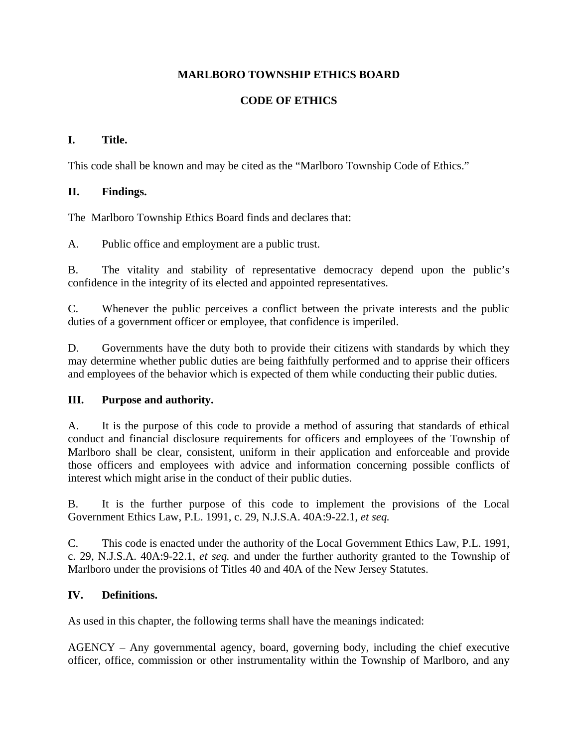## **MARLBORO TOWNSHIP ETHICS BOARD**

## **CODE OF ETHICS**

## **I. Title.**

This code shall be known and may be cited as the "Marlboro Township Code of Ethics."

## **II. Findings.**

The Marlboro Township Ethics Board finds and declares that:

A. Public office and employment are a public trust.

B. The vitality and stability of representative democracy depend upon the public's confidence in the integrity of its elected and appointed representatives.

C. Whenever the public perceives a conflict between the private interests and the public duties of a government officer or employee, that confidence is imperiled.

D. Governments have the duty both to provide their citizens with standards by which they may determine whether public duties are being faithfully performed and to apprise their officers and employees of the behavior which is expected of them while conducting their public duties.

#### **III. Purpose and authority.**

A. It is the purpose of this code to provide a method of assuring that standards of ethical conduct and financial disclosure requirements for officers and employees of the Township of Marlboro shall be clear, consistent, uniform in their application and enforceable and provide those officers and employees with advice and information concerning possible conflicts of interest which might arise in the conduct of their public duties.

B. It is the further purpose of this code to implement the provisions of the Local Government Ethics Law, P.L. 1991, c. 29, N.J.S.A. 40A:9-22.1, *et seq.* 

C. This code is enacted under the authority of the Local Government Ethics Law, P.L. 1991, c. 29, N.J.S.A. 40A:9-22.1, *et seq.* and under the further authority granted to the Township of Marlboro under the provisions of Titles 40 and 40A of the New Jersey Statutes.

#### **IV. Definitions.**

As used in this chapter, the following terms shall have the meanings indicated:

AGENCY – Any governmental agency, board, governing body, including the chief executive officer, office, commission or other instrumentality within the Township of Marlboro, and any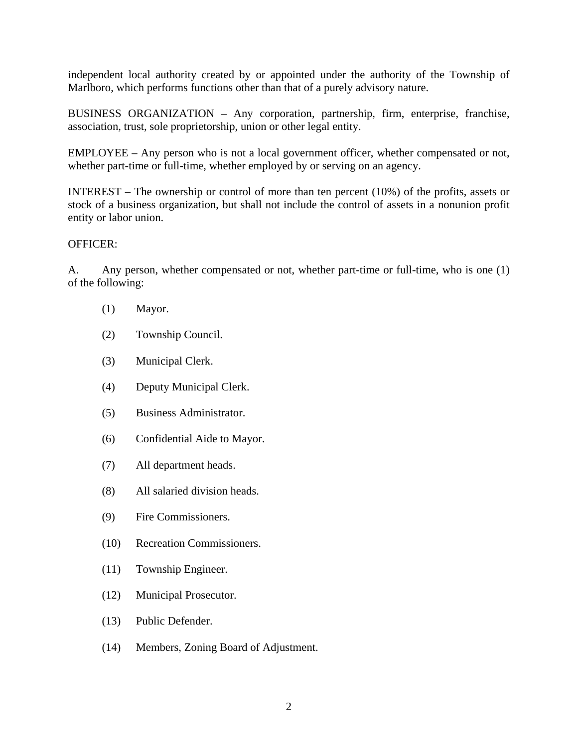independent local authority created by or appointed under the authority of the Township of Marlboro, which performs functions other than that of a purely advisory nature.

BUSINESS ORGANIZATION – Any corporation, partnership, firm, enterprise, franchise, association, trust, sole proprietorship, union or other legal entity.

EMPLOYEE – Any person who is not a local government officer, whether compensated or not, whether part-time or full-time, whether employed by or serving on an agency.

INTEREST – The ownership or control of more than ten percent (10%) of the profits, assets or stock of a business organization, but shall not include the control of assets in a nonunion profit entity or labor union.

#### OFFICER:

A. Any person, whether compensated or not, whether part-time or full-time, who is one (1) of the following:

- (1) Mayor.
- (2) Township Council.
- (3) Municipal Clerk.
- (4) Deputy Municipal Clerk.
- (5) Business Administrator.
- (6) Confidential Aide to Mayor.
- (7) All department heads.
- (8) All salaried division heads.
- (9) Fire Commissioners.
- (10) Recreation Commissioners.
- (11) Township Engineer.
- (12) Municipal Prosecutor.
- (13) Public Defender.
- (14) Members, Zoning Board of Adjustment.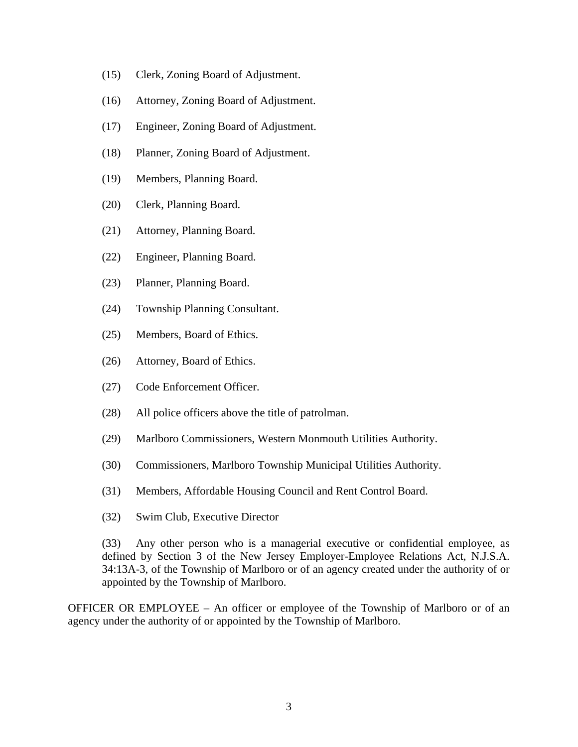- (15) Clerk, Zoning Board of Adjustment.
- (16) Attorney, Zoning Board of Adjustment.
- (17) Engineer, Zoning Board of Adjustment.
- (18) Planner, Zoning Board of Adjustment.
- (19) Members, Planning Board.
- (20) Clerk, Planning Board.
- (21) Attorney, Planning Board.
- (22) Engineer, Planning Board.
- (23) Planner, Planning Board.
- (24) Township Planning Consultant.
- (25) Members, Board of Ethics.
- (26) Attorney, Board of Ethics.
- (27) Code Enforcement Officer.
- (28) All police officers above the title of patrolman.
- (29) Marlboro Commissioners, Western Monmouth Utilities Authority.
- (30) Commissioners, Marlboro Township Municipal Utilities Authority.
- (31) Members, Affordable Housing Council and Rent Control Board.
- (32) Swim Club, Executive Director

(33) Any other person who is a managerial executive or confidential employee, as defined by Section 3 of the New Jersey Employer-Employee Relations Act, N.J.S.A. 34:13A-3, of the Township of Marlboro or of an agency created under the authority of or appointed by the Township of Marlboro.

OFFICER OR EMPLOYEE – An officer or employee of the Township of Marlboro or of an agency under the authority of or appointed by the Township of Marlboro.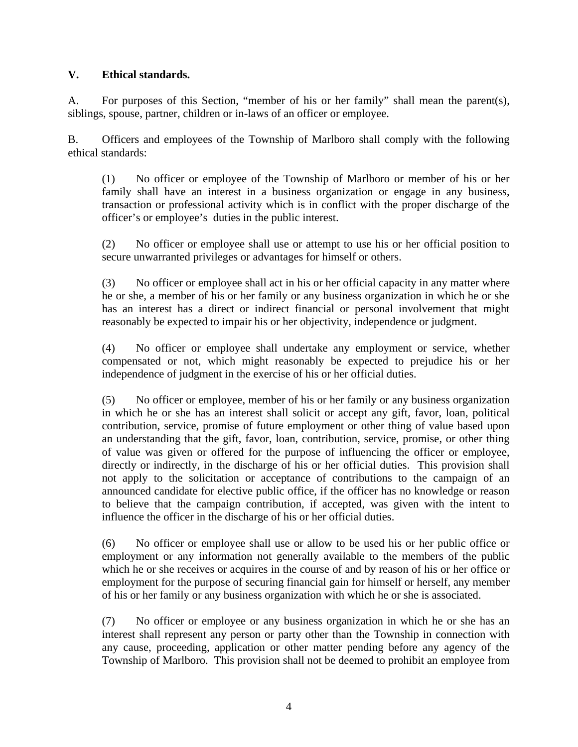#### **V. Ethical standards.**

A. For purposes of this Section, "member of his or her family" shall mean the parent(s), siblings, spouse, partner, children or in-laws of an officer or employee.

B. Officers and employees of the Township of Marlboro shall comply with the following ethical standards:

(1) No officer or employee of the Township of Marlboro or member of his or her family shall have an interest in a business organization or engage in any business, transaction or professional activity which is in conflict with the proper discharge of the officer's or employee's duties in the public interest.

(2) No officer or employee shall use or attempt to use his or her official position to secure unwarranted privileges or advantages for himself or others.

(3) No officer or employee shall act in his or her official capacity in any matter where he or she, a member of his or her family or any business organization in which he or she has an interest has a direct or indirect financial or personal involvement that might reasonably be expected to impair his or her objectivity, independence or judgment.

(4) No officer or employee shall undertake any employment or service, whether compensated or not, which might reasonably be expected to prejudice his or her independence of judgment in the exercise of his or her official duties.

(5) No officer or employee, member of his or her family or any business organization in which he or she has an interest shall solicit or accept any gift, favor, loan, political contribution, service, promise of future employment or other thing of value based upon an understanding that the gift, favor, loan, contribution, service, promise, or other thing of value was given or offered for the purpose of influencing the officer or employee, directly or indirectly, in the discharge of his or her official duties. This provision shall not apply to the solicitation or acceptance of contributions to the campaign of an announced candidate for elective public office, if the officer has no knowledge or reason to believe that the campaign contribution, if accepted, was given with the intent to influence the officer in the discharge of his or her official duties.

(6) No officer or employee shall use or allow to be used his or her public office or employment or any information not generally available to the members of the public which he or she receives or acquires in the course of and by reason of his or her office or employment for the purpose of securing financial gain for himself or herself, any member of his or her family or any business organization with which he or she is associated.

(7) No officer or employee or any business organization in which he or she has an interest shall represent any person or party other than the Township in connection with any cause, proceeding, application or other matter pending before any agency of the Township of Marlboro. This provision shall not be deemed to prohibit an employee from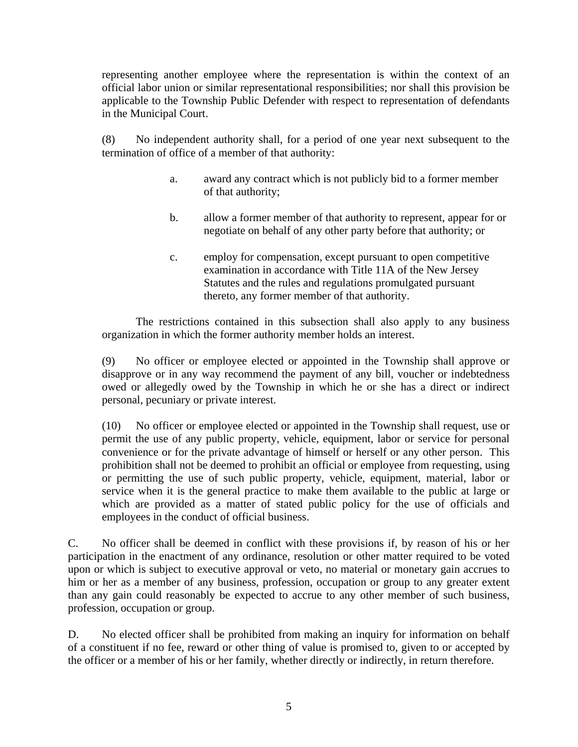representing another employee where the representation is within the context of an official labor union or similar representational responsibilities; nor shall this provision be applicable to the Township Public Defender with respect to representation of defendants in the Municipal Court.

(8) No independent authority shall, for a period of one year next subsequent to the termination of office of a member of that authority:

- a. award any contract which is not publicly bid to a former member of that authority;
- b. allow a former member of that authority to represent, appear for or negotiate on behalf of any other party before that authority; or
- c. employ for compensation, except pursuant to open competitive examination in accordance with Title 11A of the New Jersey Statutes and the rules and regulations promulgated pursuant thereto, any former member of that authority.

 The restrictions contained in this subsection shall also apply to any business organization in which the former authority member holds an interest.

(9) No officer or employee elected or appointed in the Township shall approve or disapprove or in any way recommend the payment of any bill, voucher or indebtedness owed or allegedly owed by the Township in which he or she has a direct or indirect personal, pecuniary or private interest.

(10) No officer or employee elected or appointed in the Township shall request, use or permit the use of any public property, vehicle, equipment, labor or service for personal convenience or for the private advantage of himself or herself or any other person. This prohibition shall not be deemed to prohibit an official or employee from requesting, using or permitting the use of such public property, vehicle, equipment, material, labor or service when it is the general practice to make them available to the public at large or which are provided as a matter of stated public policy for the use of officials and employees in the conduct of official business.

C. No officer shall be deemed in conflict with these provisions if, by reason of his or her participation in the enactment of any ordinance, resolution or other matter required to be voted upon or which is subject to executive approval or veto, no material or monetary gain accrues to him or her as a member of any business, profession, occupation or group to any greater extent than any gain could reasonably be expected to accrue to any other member of such business, profession, occupation or group.

D. No elected officer shall be prohibited from making an inquiry for information on behalf of a constituent if no fee, reward or other thing of value is promised to, given to or accepted by the officer or a member of his or her family, whether directly or indirectly, in return therefore.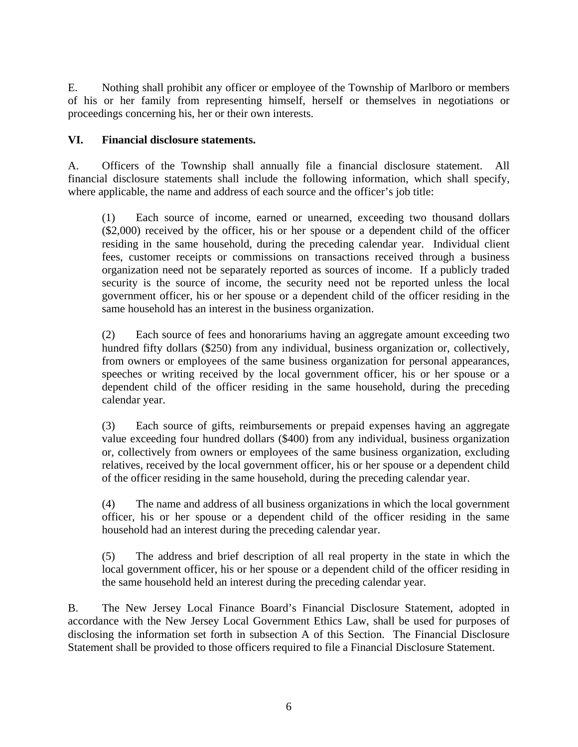E. Nothing shall prohibit any officer or employee of the Township of Marlboro or members of his or her family from representing himself, herself or themselves in negotiations or proceedings concerning his, her or their own interests.

## **VI. Financial disclosure statements.**

A. Officers of the Township shall annually file a financial disclosure statement. All financial disclosure statements shall include the following information, which shall specify, where applicable, the name and address of each source and the officer's job title:

(1) Each source of income, earned or unearned, exceeding two thousand dollars (\$2,000) received by the officer, his or her spouse or a dependent child of the officer residing in the same household, during the preceding calendar year. Individual client fees, customer receipts or commissions on transactions received through a business organization need not be separately reported as sources of income. If a publicly traded security is the source of income, the security need not be reported unless the local government officer, his or her spouse or a dependent child of the officer residing in the same household has an interest in the business organization.

(2) Each source of fees and honorariums having an aggregate amount exceeding two hundred fifty dollars (\$250) from any individual, business organization or, collectively, from owners or employees of the same business organization for personal appearances, speeches or writing received by the local government officer, his or her spouse or a dependent child of the officer residing in the same household, during the preceding calendar year.

(3) Each source of gifts, reimbursements or prepaid expenses having an aggregate value exceeding four hundred dollars (\$400) from any individual, business organization or, collectively from owners or employees of the same business organization, excluding relatives, received by the local government officer, his or her spouse or a dependent child of the officer residing in the same household, during the preceding calendar year.

(4) The name and address of all business organizations in which the local government officer, his or her spouse or a dependent child of the officer residing in the same household had an interest during the preceding calendar year.

(5) The address and brief description of all real property in the state in which the local government officer, his or her spouse or a dependent child of the officer residing in the same household held an interest during the preceding calendar year.

B. The New Jersey Local Finance Board's Financial Disclosure Statement, adopted in accordance with the New Jersey Local Government Ethics Law, shall be used for purposes of disclosing the information set forth in subsection A of this Section. The Financial Disclosure Statement shall be provided to those officers required to file a Financial Disclosure Statement.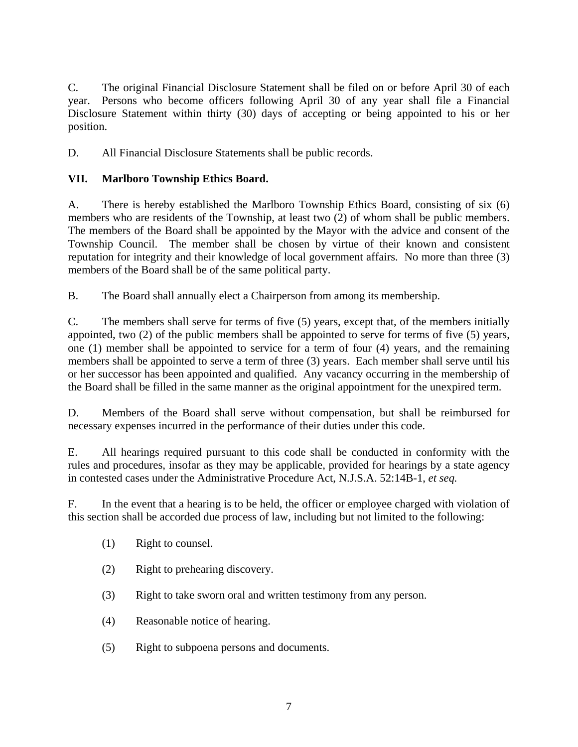C. The original Financial Disclosure Statement shall be filed on or before April 30 of each year. Persons who become officers following April 30 of any year shall file a Financial Disclosure Statement within thirty (30) days of accepting or being appointed to his or her position.

D. All Financial Disclosure Statements shall be public records.

# **VII. Marlboro Township Ethics Board.**

A. There is hereby established the Marlboro Township Ethics Board, consisting of six (6) members who are residents of the Township, at least two (2) of whom shall be public members. The members of the Board shall be appointed by the Mayor with the advice and consent of the Township Council. The member shall be chosen by virtue of their known and consistent reputation for integrity and their knowledge of local government affairs. No more than three (3) members of the Board shall be of the same political party.

B. The Board shall annually elect a Chairperson from among its membership.

C. The members shall serve for terms of five (5) years, except that, of the members initially appointed, two (2) of the public members shall be appointed to serve for terms of five (5) years, one (1) member shall be appointed to service for a term of four (4) years, and the remaining members shall be appointed to serve a term of three (3) years. Each member shall serve until his or her successor has been appointed and qualified. Any vacancy occurring in the membership of the Board shall be filled in the same manner as the original appointment for the unexpired term.

D. Members of the Board shall serve without compensation, but shall be reimbursed for necessary expenses incurred in the performance of their duties under this code.

E. All hearings required pursuant to this code shall be conducted in conformity with the rules and procedures, insofar as they may be applicable, provided for hearings by a state agency in contested cases under the Administrative Procedure Act, N.J.S.A. 52:14B-1, *et seq.*

F. In the event that a hearing is to be held, the officer or employee charged with violation of this section shall be accorded due process of law, including but not limited to the following:

- (1) Right to counsel.
- (2) Right to prehearing discovery.
- (3) Right to take sworn oral and written testimony from any person.
- (4) Reasonable notice of hearing.
- (5) Right to subpoena persons and documents.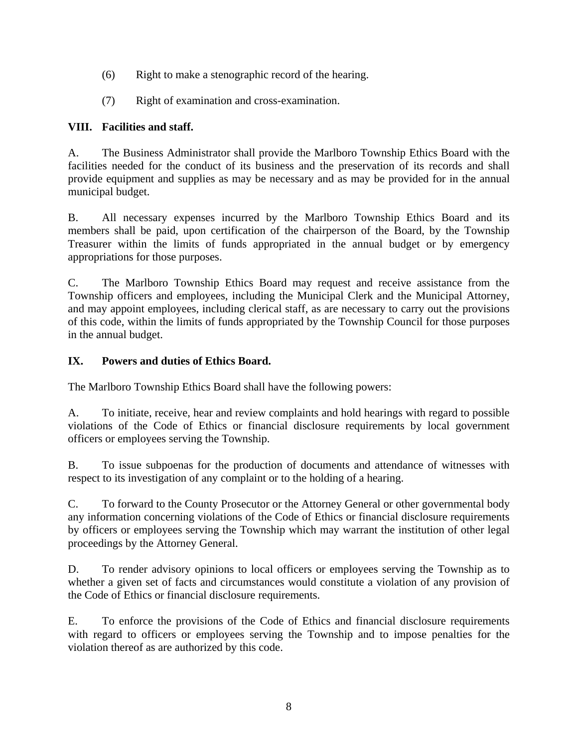- (6) Right to make a stenographic record of the hearing.
- (7) Right of examination and cross-examination.

## **VIII. Facilities and staff.**

A. The Business Administrator shall provide the Marlboro Township Ethics Board with the facilities needed for the conduct of its business and the preservation of its records and shall provide equipment and supplies as may be necessary and as may be provided for in the annual municipal budget.

B. All necessary expenses incurred by the Marlboro Township Ethics Board and its members shall be paid, upon certification of the chairperson of the Board, by the Township Treasurer within the limits of funds appropriated in the annual budget or by emergency appropriations for those purposes.

C. The Marlboro Township Ethics Board may request and receive assistance from the Township officers and employees, including the Municipal Clerk and the Municipal Attorney, and may appoint employees, including clerical staff, as are necessary to carry out the provisions of this code, within the limits of funds appropriated by the Township Council for those purposes in the annual budget.

## **IX. Powers and duties of Ethics Board.**

The Marlboro Township Ethics Board shall have the following powers:

A. To initiate, receive, hear and review complaints and hold hearings with regard to possible violations of the Code of Ethics or financial disclosure requirements by local government officers or employees serving the Township.

B. To issue subpoenas for the production of documents and attendance of witnesses with respect to its investigation of any complaint or to the holding of a hearing.

C. To forward to the County Prosecutor or the Attorney General or other governmental body any information concerning violations of the Code of Ethics or financial disclosure requirements by officers or employees serving the Township which may warrant the institution of other legal proceedings by the Attorney General.

D. To render advisory opinions to local officers or employees serving the Township as to whether a given set of facts and circumstances would constitute a violation of any provision of the Code of Ethics or financial disclosure requirements.

E. To enforce the provisions of the Code of Ethics and financial disclosure requirements with regard to officers or employees serving the Township and to impose penalties for the violation thereof as are authorized by this code.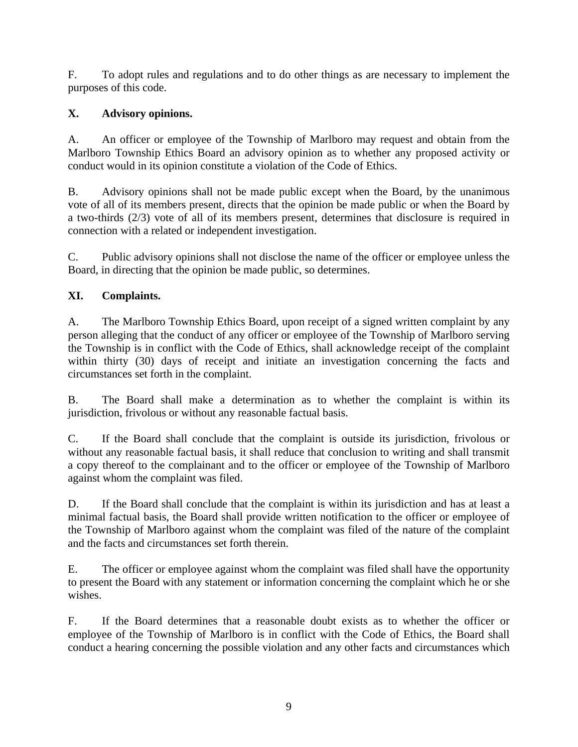F. To adopt rules and regulations and to do other things as are necessary to implement the purposes of this code.

# **X. Advisory opinions.**

A. An officer or employee of the Township of Marlboro may request and obtain from the Marlboro Township Ethics Board an advisory opinion as to whether any proposed activity or conduct would in its opinion constitute a violation of the Code of Ethics.

B. Advisory opinions shall not be made public except when the Board, by the unanimous vote of all of its members present, directs that the opinion be made public or when the Board by a two-thirds (2/3) vote of all of its members present, determines that disclosure is required in connection with a related or independent investigation.

C. Public advisory opinions shall not disclose the name of the officer or employee unless the Board, in directing that the opinion be made public, so determines.

## **XI. Complaints.**

A. The Marlboro Township Ethics Board, upon receipt of a signed written complaint by any person alleging that the conduct of any officer or employee of the Township of Marlboro serving the Township is in conflict with the Code of Ethics, shall acknowledge receipt of the complaint within thirty (30) days of receipt and initiate an investigation concerning the facts and circumstances set forth in the complaint.

B. The Board shall make a determination as to whether the complaint is within its jurisdiction, frivolous or without any reasonable factual basis.

C. If the Board shall conclude that the complaint is outside its jurisdiction, frivolous or without any reasonable factual basis, it shall reduce that conclusion to writing and shall transmit a copy thereof to the complainant and to the officer or employee of the Township of Marlboro against whom the complaint was filed.

D. If the Board shall conclude that the complaint is within its jurisdiction and has at least a minimal factual basis, the Board shall provide written notification to the officer or employee of the Township of Marlboro against whom the complaint was filed of the nature of the complaint and the facts and circumstances set forth therein.

E. The officer or employee against whom the complaint was filed shall have the opportunity to present the Board with any statement or information concerning the complaint which he or she wishes.

F. If the Board determines that a reasonable doubt exists as to whether the officer or employee of the Township of Marlboro is in conflict with the Code of Ethics, the Board shall conduct a hearing concerning the possible violation and any other facts and circumstances which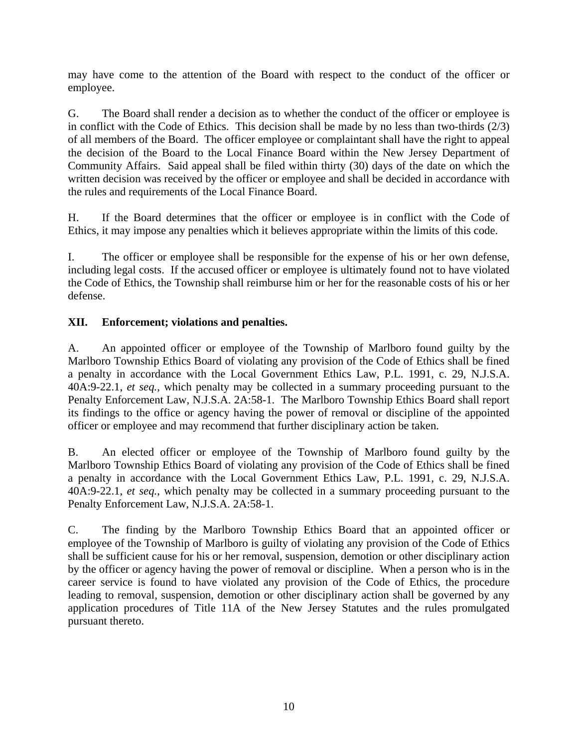may have come to the attention of the Board with respect to the conduct of the officer or employee.

G. The Board shall render a decision as to whether the conduct of the officer or employee is in conflict with the Code of Ethics. This decision shall be made by no less than two-thirds (2/3) of all members of the Board. The officer employee or complaintant shall have the right to appeal the decision of the Board to the Local Finance Board within the New Jersey Department of Community Affairs. Said appeal shall be filed within thirty (30) days of the date on which the written decision was received by the officer or employee and shall be decided in accordance with the rules and requirements of the Local Finance Board.

H. If the Board determines that the officer or employee is in conflict with the Code of Ethics, it may impose any penalties which it believes appropriate within the limits of this code.

I. The officer or employee shall be responsible for the expense of his or her own defense, including legal costs. If the accused officer or employee is ultimately found not to have violated the Code of Ethics, the Township shall reimburse him or her for the reasonable costs of his or her defense.

## **XII. Enforcement; violations and penalties.**

A. An appointed officer or employee of the Township of Marlboro found guilty by the Marlboro Township Ethics Board of violating any provision of the Code of Ethics shall be fined a penalty in accordance with the Local Government Ethics Law, P.L. 1991, c. 29, N.J.S.A. 40A:9-22.1, *et seq.*, which penalty may be collected in a summary proceeding pursuant to the Penalty Enforcement Law, N.J.S.A. 2A:58-1. The Marlboro Township Ethics Board shall report its findings to the office or agency having the power of removal or discipline of the appointed officer or employee and may recommend that further disciplinary action be taken.

B. An elected officer or employee of the Township of Marlboro found guilty by the Marlboro Township Ethics Board of violating any provision of the Code of Ethics shall be fined a penalty in accordance with the Local Government Ethics Law, P.L. 1991, c. 29, N.J.S.A. 40A:9-22.1, *et seq.*, which penalty may be collected in a summary proceeding pursuant to the Penalty Enforcement Law, N.J.S.A. 2A:58-1.

C. The finding by the Marlboro Township Ethics Board that an appointed officer or employee of the Township of Marlboro is guilty of violating any provision of the Code of Ethics shall be sufficient cause for his or her removal, suspension, demotion or other disciplinary action by the officer or agency having the power of removal or discipline. When a person who is in the career service is found to have violated any provision of the Code of Ethics, the procedure leading to removal, suspension, demotion or other disciplinary action shall be governed by any application procedures of Title 11A of the New Jersey Statutes and the rules promulgated pursuant thereto.